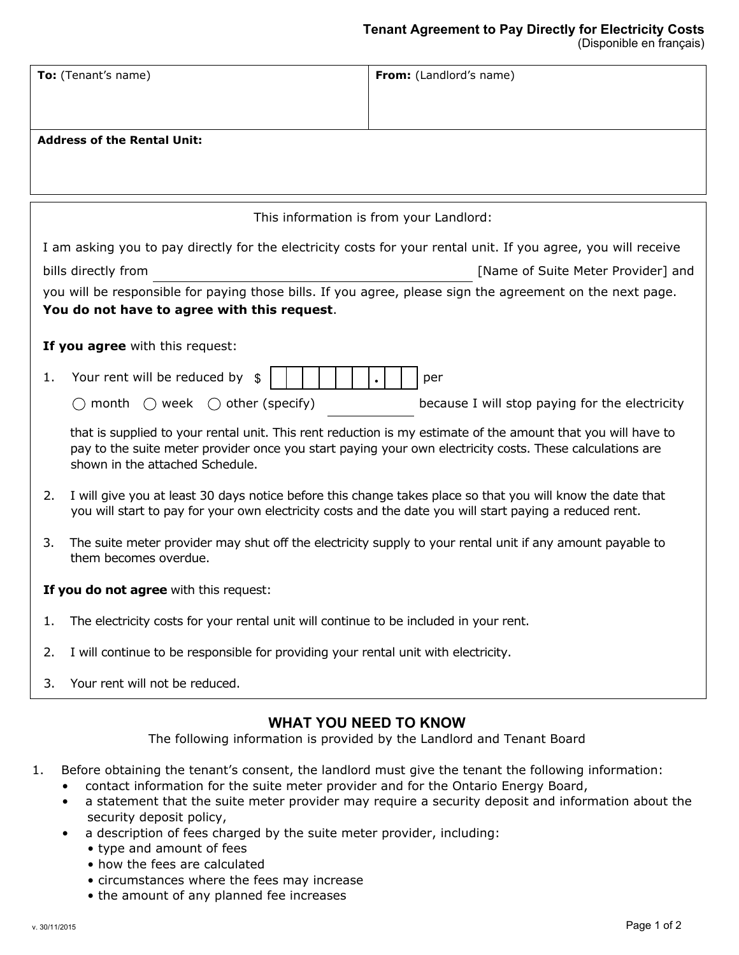| To: (Tenant's name)                    |                                                                                                                                             | From: (Landlord's name)                                                                                        |  |
|----------------------------------------|---------------------------------------------------------------------------------------------------------------------------------------------|----------------------------------------------------------------------------------------------------------------|--|
|                                        | <b>Address of the Rental Unit:</b>                                                                                                          |                                                                                                                |  |
|                                        |                                                                                                                                             |                                                                                                                |  |
|                                        |                                                                                                                                             | This information is from your Landlord:                                                                        |  |
|                                        |                                                                                                                                             | I am asking you to pay directly for the electricity costs for your rental unit. If you agree, you will receive |  |
|                                        | bills directly from                                                                                                                         | [Name of Suite Meter Provider] and                                                                             |  |
|                                        |                                                                                                                                             | you will be responsible for paying those bills. If you agree, please sign the agreement on the next page.      |  |
|                                        | You do not have to agree with this request.                                                                                                 |                                                                                                                |  |
|                                        | If you agree with this request:                                                                                                             |                                                                                                                |  |
| 1.                                     | Your rent will be reduced by<br>\$                                                                                                          | per                                                                                                            |  |
|                                        | $\bigcirc$ week $\bigcirc$ other (specify)<br>month                                                                                         | because I will stop paying for the electricity                                                                 |  |
|                                        | pay to the suite meter provider once you start paying your own electricity costs. These calculations are<br>shown in the attached Schedule. | that is supplied to your rental unit. This rent reduction is my estimate of the amount that you will have to   |  |
| 2.                                     | you will start to pay for your own electricity costs and the date you will start paying a reduced rent.                                     | I will give you at least 30 days notice before this change takes place so that you will know the date that     |  |
| 3.                                     | them becomes overdue.                                                                                                                       | The suite meter provider may shut off the electricity supply to your rental unit if any amount payable to      |  |
| If you do not agree with this request: |                                                                                                                                             |                                                                                                                |  |
| 1.                                     | The electricity costs for your rental unit will continue to be included in your rent.                                                       |                                                                                                                |  |
| 2.                                     | I will continue to be responsible for providing your rental unit with electricity.                                                          |                                                                                                                |  |
| 3.                                     | Your rent will not be reduced.                                                                                                              |                                                                                                                |  |
|                                        | <b>WHAT YOU NEED TO KNOW</b><br>The following information is provided by the Landlord and Tenant Board                                      |                                                                                                                |  |

- 1. Before obtaining the tenant's consent, the landlord must give the tenant the following information:
	- contact information for the suite meter provider and for the Ontario Energy Board,
	- a statement that the suite meter provider may require a security deposit and information about the security deposit policy,
	- a description of fees charged by the suite meter provider, including:
		- type and amount of fees
		- how the fees are calculated
		- circumstances where the fees may increase
		- the amount of any planned fee increases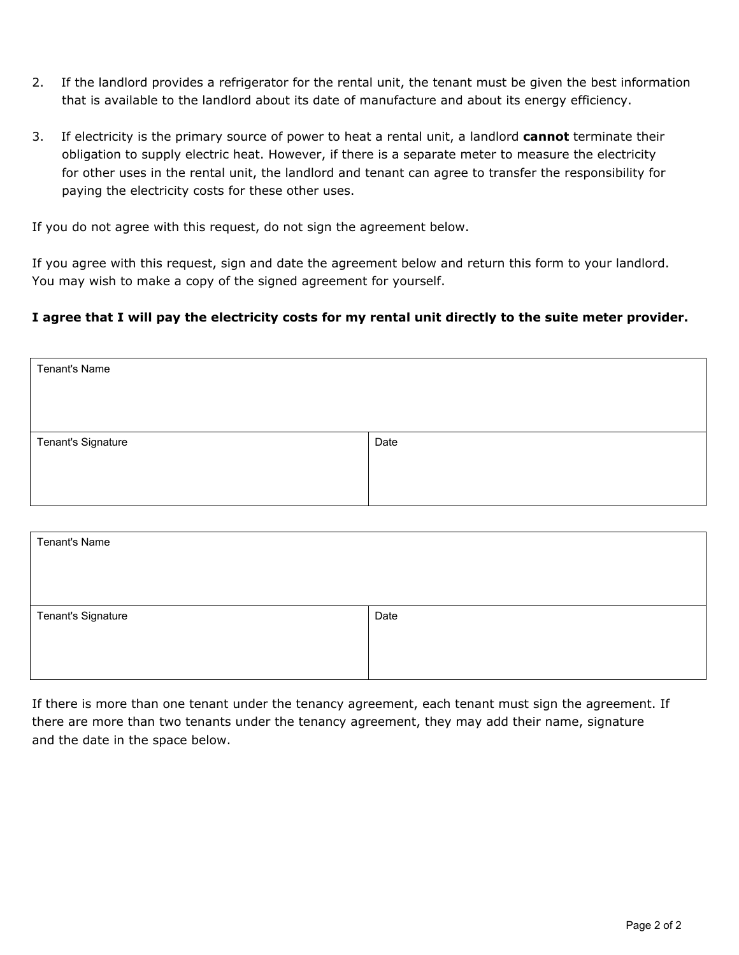- 2. If the landlord provides a refrigerator for the rental unit, the tenant must be given the best information that is available to the landlord about its date of manufacture and about its energy efficiency.
- 3. If electricity is the primary source of power to heat a rental unit, a landlord **cannot** terminate their obligation to supply electric heat. However, if there is a separate meter to measure the electricity for other uses in the rental unit, the landlord and tenant can agree to transfer the responsibility for paying the electricity costs for these other uses.

If you do not agree with this request, do not sign the agreement below.

If you agree with this request, sign and date the agreement below and return this form to your landlord. You may wish to make a copy of the signed agreement for yourself.

### **I agree that I will pay the electricity costs for my rental unit directly to the suite meter provider.**

| Tenant's Name      |      |
|--------------------|------|
|                    |      |
|                    |      |
| Tenant's Signature | Date |
|                    |      |
|                    |      |

| Tenant's Name      |      |
|--------------------|------|
|                    |      |
|                    |      |
| Tenant's Signature | Date |
|                    |      |
|                    |      |

If there is more than one tenant under the tenancy agreement, each tenant must sign the agreement. If there are more than two tenants under the tenancy agreement, they may add their name, signature and the date in the space below.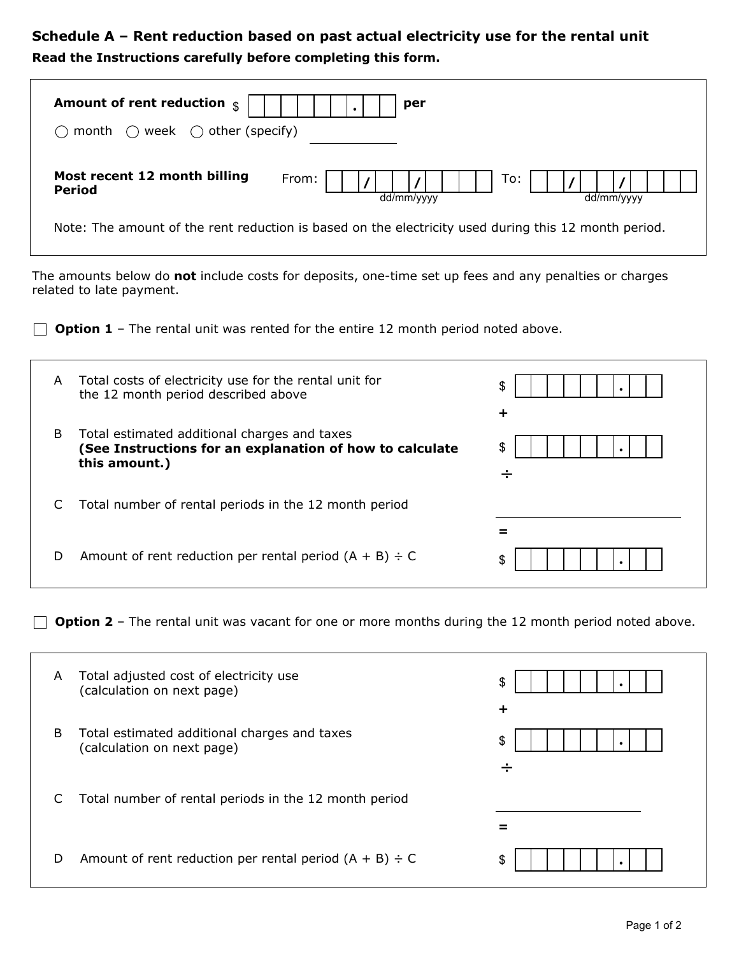# **Schedule A – Rent reduction based on past actual electricity use for the rental unit Read the Instructions carefully before completing this form.**

| Amount of rent reduction $\frac{1}{3}$<br>week $\bigcirc$ other (specify)<br>month                                                        | per                                                                                                  |                   |
|-------------------------------------------------------------------------------------------------------------------------------------------|------------------------------------------------------------------------------------------------------|-------------------|
| Most recent 12 month billing<br><b>Period</b>                                                                                             | From:<br>dd/mm/yyyy                                                                                  | To:<br>dd/mm/yyyy |
|                                                                                                                                           | Note: The amount of the rent reduction is based on the electricity used during this 12 month period. |                   |
| The amounts below do <b>not</b> include costs for deposits, one-time set up fees and any penalties or charges<br>related to late payment. |                                                                                                      |                   |
| <b>Option 1</b> – The rental unit was rented for the entire 12 month period noted above.                                                  |                                                                                                      |                   |

| A | Total costs of electricity use for the rental unit for<br>the 12 month period described above                             | \$<br>÷ |
|---|---------------------------------------------------------------------------------------------------------------------------|---------|
| B | Total estimated additional charges and taxes<br>(See Instructions for an explanation of how to calculate<br>this amount.) | \$<br>÷ |
|   | Total number of rental periods in the 12 month period                                                                     |         |
| D | Amount of rent reduction per rental period $(A + B) \div C$                                                               | S       |

**D** Option 2 - The rental unit was vacant for one or more months during the 12 month period noted above.

| A | Total adjusted cost of electricity use<br>(calculation on next page)       | \$<br>┿ |
|---|----------------------------------------------------------------------------|---------|
| B | Total estimated additional charges and taxes<br>(calculation on next page) | \$<br>÷ |
| C | Total number of rental periods in the 12 month period                      |         |
| D | Amount of rent reduction per rental period $(A + B) \div C$                | \$      |

٦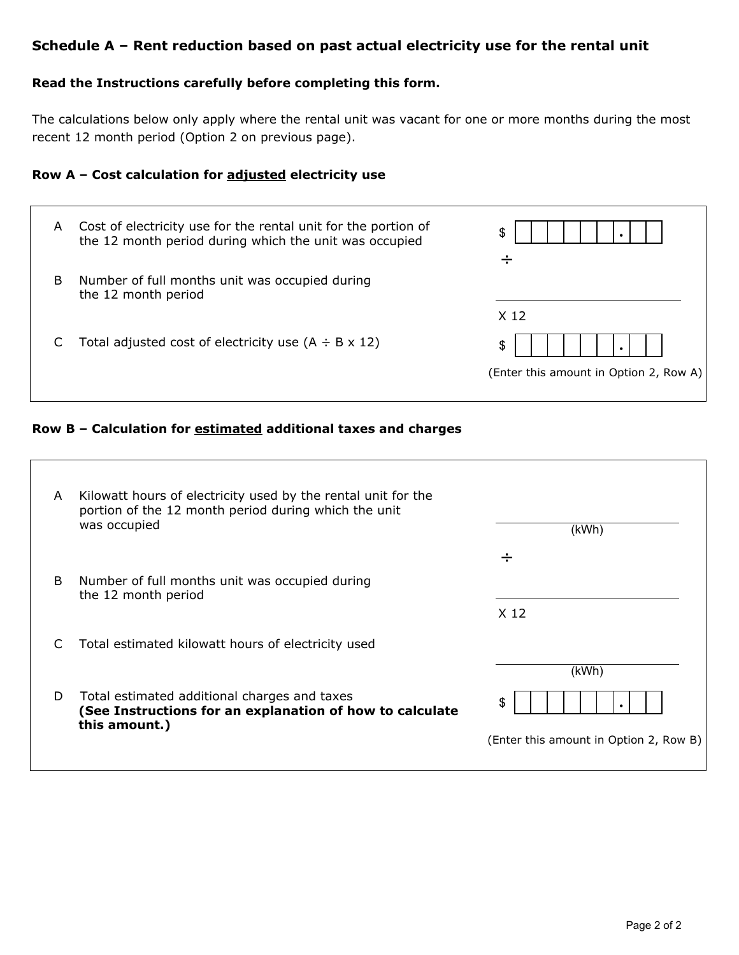## **Schedule A – Rent reduction based on past actual electricity use for the rental unit**

#### **Read the Instructions carefully before completing this form.**

The calculations below only apply where the rental unit was vacant for one or more months during the most recent 12 month period (Option 2 on previous page).

#### **Row A – Cost calculation for adjusted electricity use**

| A | Cost of electricity use for the rental unit for the portion of<br>the 12 month period during which the unit was occupied | \$                                     |
|---|--------------------------------------------------------------------------------------------------------------------------|----------------------------------------|
|   |                                                                                                                          | ÷                                      |
| B | Number of full months unit was occupied during<br>the 12 month period                                                    |                                        |
|   |                                                                                                                          | X 12                                   |
|   | Total adjusted cost of electricity use $(A \div B \times 12)$                                                            | \$                                     |
|   |                                                                                                                          | (Enter this amount in Option 2, Row A) |
|   |                                                                                                                          |                                        |

#### **Row B – Calculation for estimated additional taxes and charges**

| A | Kilowatt hours of electricity used by the rental unit for the<br>portion of the 12 month period during which the unit<br>was occupied | (kWh)                                  |
|---|---------------------------------------------------------------------------------------------------------------------------------------|----------------------------------------|
|   |                                                                                                                                       | ÷                                      |
| B | Number of full months unit was occupied during<br>the 12 month period                                                                 |                                        |
|   |                                                                                                                                       | X <sub>12</sub>                        |
| C | Total estimated kilowatt hours of electricity used                                                                                    |                                        |
|   |                                                                                                                                       | (kWh)                                  |
| D | Total estimated additional charges and taxes<br>(See Instructions for an explanation of how to calculate<br>this amount.)             | \$                                     |
|   |                                                                                                                                       | (Enter this amount in Option 2, Row B) |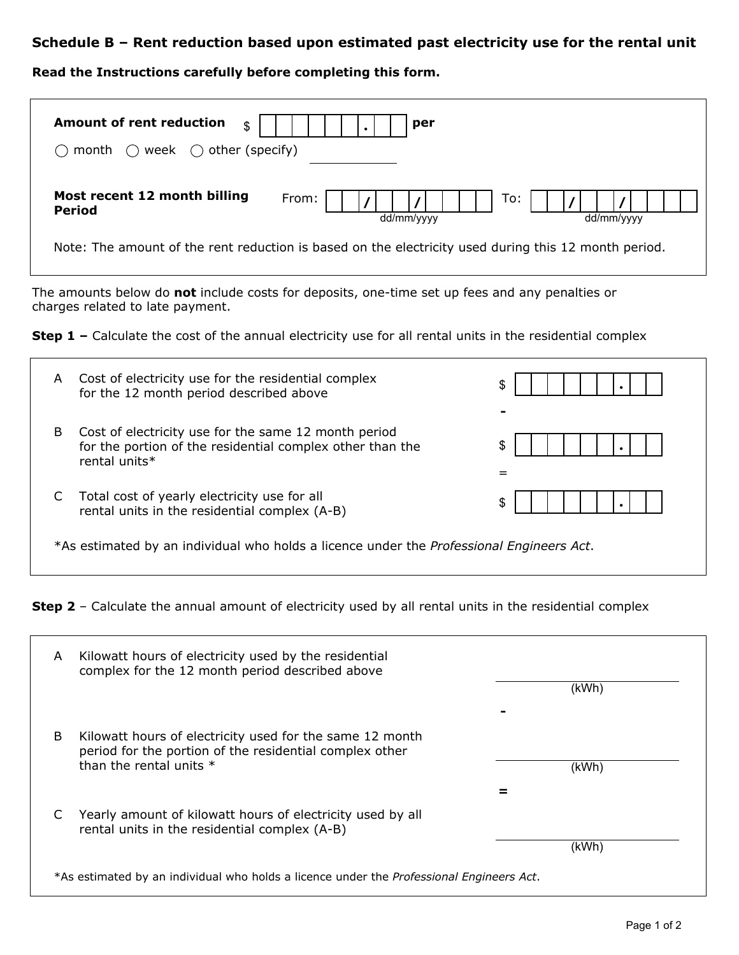### **Schedule B – Rent reduction based upon estimated past electricity use for the rental unit**

#### **Read the Instructions carefully before completing this form.**

| <b>Amount of rent reduction</b><br>\$<br>$\bigcirc$ week $\bigcirc$ other (specify)<br>month | per                                                                                                  |
|----------------------------------------------------------------------------------------------|------------------------------------------------------------------------------------------------------|
| Most recent 12 month billing<br><b>Period</b>                                                | To:<br>From:<br>dd/mm/yyyy<br>dd/mm/yyyy                                                             |
|                                                                                              | Note: The amount of the rent reduction is based on the electricity used during this 12 month period. |

The amounts below do **not** include costs for deposits, one-time set up fees and any penalties or charges related to late payment.

**Step 1 -** Calculate the cost of the annual electricity use for all rental units in the residential complex

| A                                                                                                | Cost of electricity use for the residential complex<br>for the 12 month period described above                                     | S  |
|--------------------------------------------------------------------------------------------------|------------------------------------------------------------------------------------------------------------------------------------|----|
| B                                                                                                | Cost of electricity use for the same 12 month period<br>for the portion of the residential complex other than the<br>rental units* | \$ |
|                                                                                                  | Total cost of yearly electricity use for all<br>rental units in the residential complex (A-B)                                      | \$ |
| *As estimated by an individual who holds a licence under the <i>Professional Engineers Act</i> . |                                                                                                                                    |    |

**Step 2** - Calculate the annual amount of electricity used by all rental units in the residential complex

| A | Kilowatt hours of electricity used by the residential<br>complex for the 12 month period described above                                       | (kWh) |
|---|------------------------------------------------------------------------------------------------------------------------------------------------|-------|
|   |                                                                                                                                                |       |
| B | Kilowatt hours of electricity used for the same 12 month<br>period for the portion of the residential complex other<br>than the rental units * | (kWh) |
|   |                                                                                                                                                |       |
|   | Yearly amount of kilowatt hours of electricity used by all<br>rental units in the residential complex (A-B)                                    |       |
|   |                                                                                                                                                | (kWh) |
|   | *As estimated by an individual who holds a licence under the <i>Professional Engineers Act</i> .                                               |       |